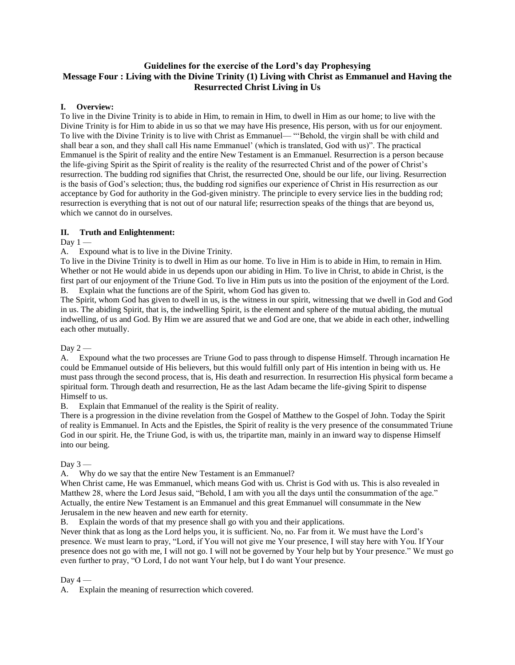# **Guidelines for the exercise of the Lord's day Prophesying Message Four : Living with the Divine Trinity (1) Living with Christ as Emmanuel and Having the Resurrected Christ Living in Us**

### **I. Overview:**

To live in the Divine Trinity is to abide in Him, to remain in Him, to dwell in Him as our home; to live with the Divine Trinity is for Him to abide in us so that we may have His presence, His person, with us for our enjoyment. To live with the Divine Trinity is to live with Christ as Emmanuel— "'Behold, the virgin shall be with child and shall bear a son, and they shall call His name Emmanuel' (which is translated, God with us)". The practical Emmanuel is the Spirit of reality and the entire New Testament is an Emmanuel. Resurrection is a person because the life-giving Spirit as the Spirit of reality is the reality of the resurrected Christ and of the power of Christ's resurrection. The budding rod signifies that Christ, the resurrected One, should be our life, our living. Resurrection is the basis of God's selection; thus, the budding rod signifies our experience of Christ in His resurrection as our acceptance by God for authority in the God-given ministry. The principle to every service lies in the budding rod; resurrection is everything that is not out of our natural life; resurrection speaks of the things that are beyond us, which we cannot do in ourselves.

### **II. Truth and Enlightenment:**

Day  $1 -$ 

A. Expound what is to live in the Divine Trinity.

To live in the Divine Trinity is to dwell in Him as our home. To live in Him is to abide in Him, to remain in Him. Whether or not He would abide in us depends upon our abiding in Him. To live in Christ, to abide in Christ, is the first part of our enjoyment of the Triune God. To live in Him puts us into the position of the enjoyment of the Lord. B. Explain what the functions are of the Spirit, whom God has given to.

The Spirit, whom God has given to dwell in us, is the witness in our spirit, witnessing that we dwell in God and God in us. The abiding Spirit, that is, the indwelling Spirit, is the element and sphere of the mutual abiding, the mutual indwelling, of us and God. By Him we are assured that we and God are one, that we abide in each other, indwelling each other mutually.

Day  $2-$ 

A. Expound what the two processes are Triune God to pass through to dispense Himself. Through incarnation He could be Emmanuel outside of His believers, but this would fulfill only part of His intention in being with us. He must pass through the second process, that is, His death and resurrection. In resurrection His physical form became a spiritual form. Through death and resurrection, He as the last Adam became the life-giving Spirit to dispense Himself to us.

B. Explain that Emmanuel of the reality is the Spirit of reality.

There is a progression in the divine revelation from the Gospel of Matthew to the Gospel of John. Today the Spirit of reality is Emmanuel. In Acts and the Epistles, the Spirit of reality is the very presence of the consummated Triune God in our spirit. He, the Triune God, is with us, the tripartite man, mainly in an inward way to dispense Himself into our being.

### Day  $3 -$

A. Why do we say that the entire New Testament is an Emmanuel?

When Christ came, He was Emmanuel, which means God with us. Christ is God with us. This is also revealed in Matthew 28, where the Lord Jesus said, "Behold, I am with you all the days until the consummation of the age." Actually, the entire New Testament is an Emmanuel and this great Emmanuel will consummate in the New Jerusalem in the new heaven and new earth for eternity.

B. Explain the words of that my presence shall go with you and their applications.

Never think that as long as the Lord helps you, it is sufficient. No, no. Far from it. We must have the Lord's presence. We must learn to pray, "Lord, if You will not give me Your presence, I will stay here with You. If Your presence does not go with me, I will not go. I will not be governed by Your help but by Your presence." We must go even further to pray, "O Lord, I do not want Your help, but I do want Your presence.

## Day  $4-$

A. Explain the meaning of resurrection which covered.